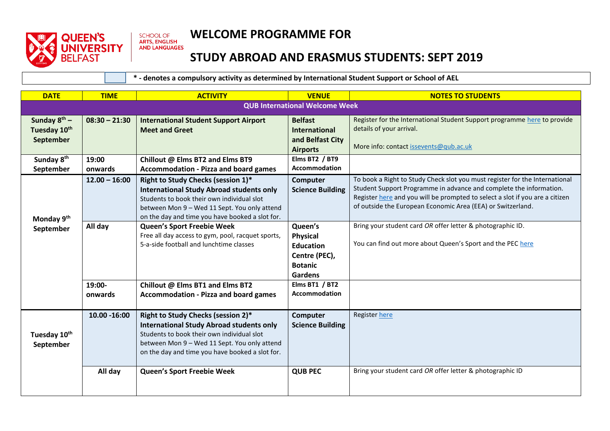

## **WELCOME PROGRAMME FOR**

## **STUDY ABROAD AND ERASMUS STUDENTS: SEPT 2019**

 **\* - denotes a compulsory activity as determined by International Student Support or School of AEL**

| <b>DATE</b>                                    | <b>TIME</b>                           | <b>ACTIVITY</b>                                                                                                                                                                                                                        | <b>VENUE</b>                                                                                        | <b>NOTES TO STUDENTS</b>                                                                                                                                                                                                                                                                         |  |
|------------------------------------------------|---------------------------------------|----------------------------------------------------------------------------------------------------------------------------------------------------------------------------------------------------------------------------------------|-----------------------------------------------------------------------------------------------------|--------------------------------------------------------------------------------------------------------------------------------------------------------------------------------------------------------------------------------------------------------------------------------------------------|--|
|                                                | <b>QUB International Welcome Week</b> |                                                                                                                                                                                                                                        |                                                                                                     |                                                                                                                                                                                                                                                                                                  |  |
| Sunday $8^{th}$ –<br>Tuesday 10th<br>September | $08:30 - 21:30$                       | <b>International Student Support Airport</b><br><b>Meet and Greet</b>                                                                                                                                                                  | <b>Belfast</b><br><b>International</b><br>and Belfast City<br><b>Airports</b>                       | Register for the International Student Support programme here to provide<br>details of your arrival.<br>More info: contact issevents@qub.ac.uk                                                                                                                                                   |  |
| Sunday 8 <sup>th</sup><br>September            | 19:00<br>onwards                      | Chillout @ Elms BT2 and Elms BT9<br><b>Accommodation - Pizza and board games</b>                                                                                                                                                       | Elms BT2 / BT9<br>Accommodation                                                                     |                                                                                                                                                                                                                                                                                                  |  |
| Monday 9th<br>September                        | $12.00 - 16:00$                       | Right to Study Checks (session 1)*<br><b>International Study Abroad students only</b><br>Students to book their own individual slot<br>between Mon 9 - Wed 11 Sept. You only attend<br>on the day and time you have booked a slot for. | Computer<br><b>Science Building</b>                                                                 | To book a Right to Study Check slot you must register for the International<br>Student Support Programme in advance and complete the information.<br>Register here and you will be prompted to select a slot if you are a citizen<br>of outside the European Economic Area (EEA) or Switzerland. |  |
|                                                | All day                               | Queen's Sport Freebie Week<br>Free all day access to gym, pool, racquet sports,<br>5-a-side football and lunchtime classes                                                                                                             | Queen's<br><b>Physical</b><br><b>Education</b><br>Centre (PEC),<br><b>Botanic</b><br><b>Gardens</b> | Bring your student card OR offer letter & photographic ID.<br>You can find out more about Queen's Sport and the PEC here                                                                                                                                                                         |  |
|                                                | 19:00-<br>onwards                     | Chillout @ Elms BT1 and Elms BT2<br><b>Accommodation - Pizza and board games</b>                                                                                                                                                       | Elms BT1 / BT2<br><b>Accommodation</b>                                                              |                                                                                                                                                                                                                                                                                                  |  |
| Tuesday 10th<br>September                      | 10.00 - 16:00                         | Right to Study Checks (session 2)*<br><b>International Study Abroad students only</b><br>Students to book their own individual slot<br>between Mon 9 - Wed 11 Sept. You only attend<br>on the day and time you have booked a slot for. | Computer<br><b>Science Building</b>                                                                 | <b>Register here</b>                                                                                                                                                                                                                                                                             |  |
|                                                | All day                               | Queen's Sport Freebie Week                                                                                                                                                                                                             | <b>QUB PEC</b>                                                                                      | Bring your student card OR offer letter & photographic ID                                                                                                                                                                                                                                        |  |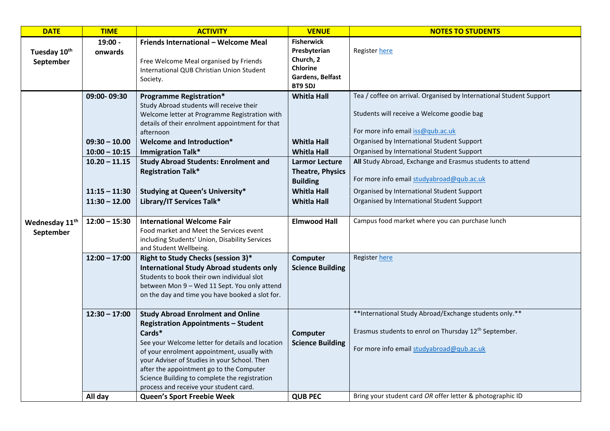| <b>DATE</b>                             | <b>TIME</b>                                                                                                | <b>ACTIVITY</b>                                                                                                                                                                                                                                                                                                                                                                                                          | <b>VENUE</b>                                                                                                                                                                      | <b>NOTES TO STUDENTS</b>                                                                                                                                                                                                                                                                                                                                                                                                                                 |
|-----------------------------------------|------------------------------------------------------------------------------------------------------------|--------------------------------------------------------------------------------------------------------------------------------------------------------------------------------------------------------------------------------------------------------------------------------------------------------------------------------------------------------------------------------------------------------------------------|-----------------------------------------------------------------------------------------------------------------------------------------------------------------------------------|----------------------------------------------------------------------------------------------------------------------------------------------------------------------------------------------------------------------------------------------------------------------------------------------------------------------------------------------------------------------------------------------------------------------------------------------------------|
| Tuesday 10 <sup>th</sup><br>September   | 19:00 -<br>onwards                                                                                         | Friends International - Welcome Meal<br>Free Welcome Meal organised by Friends<br>International QUB Christian Union Student<br>Society.                                                                                                                                                                                                                                                                                  | <b>Fisherwick</b><br>Presbyterian<br>Church, 2<br><b>Chlorine</b><br>Gardens, Belfast<br>BT9 5DJ                                                                                  | Register here                                                                                                                                                                                                                                                                                                                                                                                                                                            |
|                                         | 09:00-09:30<br>$09:30 - 10.00$<br>$10:00 - 10:15$<br>$10.20 - 11.15$<br>$11:15 - 11:30$<br>$11:30 - 12.00$ | <b>Programme Registration*</b><br>Study Abroad students will receive their<br>Welcome letter at Programme Registration with<br>details of their enrolment appointment for that<br>afternoon<br>Welcome and Introduction*<br><b>Immigration Talk*</b><br><b>Study Abroad Students: Enrolment and</b><br><b>Registration Talk*</b><br><b>Studying at Queen's University*</b><br>Library/IT Services Talk*                  | <b>Whitla Hall</b><br><b>Whitla Hall</b><br><b>Whitla Hall</b><br><b>Larmor Lecture</b><br><b>Theatre, Physics</b><br><b>Building</b><br><b>Whitla Hall</b><br><b>Whitla Hall</b> | Tea / coffee on arrival. Organised by International Student Support<br>Students will receive a Welcome goodie bag<br>For more info email iss@qub.ac.uk<br>Organised by International Student Support<br>Organised by International Student Support<br>All Study Abroad, Exchange and Erasmus students to attend<br>For more info email studyabroad@qub.ac.uk<br>Organised by International Student Support<br>Organised by International Student Support |
| Wednesday 11 <sup>th</sup><br>September | $12:00 - 15:30$                                                                                            | <b>International Welcome Fair</b><br>Food market and Meet the Services event<br>including Students' Union, Disability Services<br>and Student Wellbeing.                                                                                                                                                                                                                                                                 | <b>Elmwood Hall</b>                                                                                                                                                               | Campus food market where you can purchase lunch                                                                                                                                                                                                                                                                                                                                                                                                          |
|                                         | $12:00 - 17:00$                                                                                            | Right to Study Checks (session 3)*<br><b>International Study Abroad students only</b><br>Students to book their own individual slot<br>between Mon 9 - Wed 11 Sept. You only attend<br>on the day and time you have booked a slot for.                                                                                                                                                                                   | Computer<br><b>Science Building</b>                                                                                                                                               | Register here                                                                                                                                                                                                                                                                                                                                                                                                                                            |
|                                         | $12:30 - 17:00$<br>All day                                                                                 | <b>Study Abroad Enrolment and Online</b><br><b>Registration Appointments - Student</b><br>Cards*<br>See your Welcome letter for details and location<br>of your enrolment appointment, usually with<br>your Adviser of Studies in your School. Then<br>after the appointment go to the Computer<br>Science Building to complete the registration<br>process and receive your student card.<br>Queen's Sport Freebie Week | Computer<br><b>Science Building</b><br><b>QUB PEC</b>                                                                                                                             | **International Study Abroad/Exchange students only.**<br>Erasmus students to enrol on Thursday 12 <sup>th</sup> September.<br>For more info email studyabroad@qub.ac.uk<br>Bring your student card OR offer letter & photographic ID                                                                                                                                                                                                                    |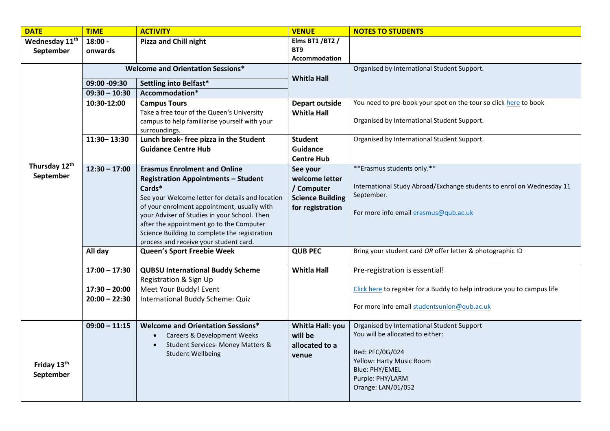| <b>DATE</b>                | <b>TIME</b>                              | <b>ACTIVITY</b>                                                                           | <b>VENUE</b>            | <b>NOTES TO STUDENTS</b>                                                |
|----------------------------|------------------------------------------|-------------------------------------------------------------------------------------------|-------------------------|-------------------------------------------------------------------------|
| Wednesday 11 <sup>th</sup> | $18:00 -$                                | <b>Pizza and Chill night</b>                                                              | Elms BT1 / BT2 /        |                                                                         |
| September                  | onwards                                  |                                                                                           | BT9                     |                                                                         |
|                            |                                          |                                                                                           | <b>Accommodation</b>    |                                                                         |
|                            | <b>Welcome and Orientation Sessions*</b> |                                                                                           |                         | Organised by International Student Support.                             |
|                            | 09:00 -09:30                             | Settling into Belfast*                                                                    | <b>Whitla Hall</b>      |                                                                         |
|                            | $09:30 - 10:30$                          | Accommodation*                                                                            |                         |                                                                         |
|                            | 10:30-12:00                              | <b>Campus Tours</b>                                                                       | <b>Depart outside</b>   | You need to pre-book your spot on the tour so click here to book        |
|                            |                                          | Take a free tour of the Queen's University                                                | <b>Whitla Hall</b>      |                                                                         |
|                            |                                          | campus to help familiarise yourself with your                                             |                         | Organised by International Student Support.                             |
|                            | 11:30 - 13:30                            | surroundings.                                                                             | <b>Student</b>          | Organised by International Student Support.                             |
|                            |                                          | Lunch break- free pizza in the Student<br><b>Guidance Centre Hub</b>                      | Guidance                |                                                                         |
|                            |                                          |                                                                                           | <b>Centre Hub</b>       |                                                                         |
| Thursday 12th              | $12:30 - 17:00$                          | <b>Erasmus Enrolment and Online</b>                                                       | See your                | ** Erasmus students only.**                                             |
| September                  |                                          | <b>Registration Appointments - Student</b>                                                | welcome letter          |                                                                         |
|                            |                                          | Cards*                                                                                    | / Computer              | International Study Abroad/Exchange students to enrol on Wednesday 11   |
|                            |                                          | See your Welcome letter for details and location                                          | <b>Science Building</b> | September.                                                              |
|                            |                                          | of your enrolment appointment, usually with                                               | for registration        |                                                                         |
|                            |                                          | your Adviser of Studies in your School. Then                                              |                         | For more info email erasmus@qub.ac.uk                                   |
|                            |                                          | after the appointment go to the Computer<br>Science Building to complete the registration |                         |                                                                         |
|                            |                                          | process and receive your student card.                                                    |                         |                                                                         |
|                            | All day                                  | Queen's Sport Freebie Week                                                                | <b>QUB PEC</b>          | Bring your student card OR offer letter & photographic ID               |
|                            |                                          |                                                                                           |                         |                                                                         |
|                            | $17:00 - 17:30$                          | <b>QUBSU International Buddy Scheme</b>                                                   | <b>Whitla Hall</b>      | Pre-registration is essential!                                          |
|                            |                                          | Registration & Sign Up                                                                    |                         |                                                                         |
|                            | $17:30 - 20:00$                          | Meet Your Buddy! Event                                                                    |                         | Click here to register for a Buddy to help introduce you to campus life |
|                            | $20:00 - 22:30$                          | International Buddy Scheme: Quiz                                                          |                         |                                                                         |
|                            |                                          |                                                                                           |                         | For more info email studentsunion@qub.ac.uk                             |
|                            | $09:00 - 11:15$                          | <b>Welcome and Orientation Sessions*</b>                                                  | Whitla Hall: you        | Organised by International Student Support                              |
|                            |                                          | Careers & Development Weeks<br>$\bullet$                                                  | will be                 | You will be allocated to either:                                        |
|                            |                                          | <b>Student Services- Money Matters &amp;</b>                                              | allocated to a          |                                                                         |
|                            |                                          | <b>Student Wellbeing</b>                                                                  | venue                   | Red: PFC/0G/024                                                         |
| Friday 13th                |                                          |                                                                                           |                         | Yellow: Harty Music Room<br>Blue: PHY/EMEL                              |
| September                  |                                          |                                                                                           |                         | Purple: PHY/LARM                                                        |
|                            |                                          |                                                                                           |                         | Orange: LAN/01/052                                                      |
|                            |                                          |                                                                                           |                         |                                                                         |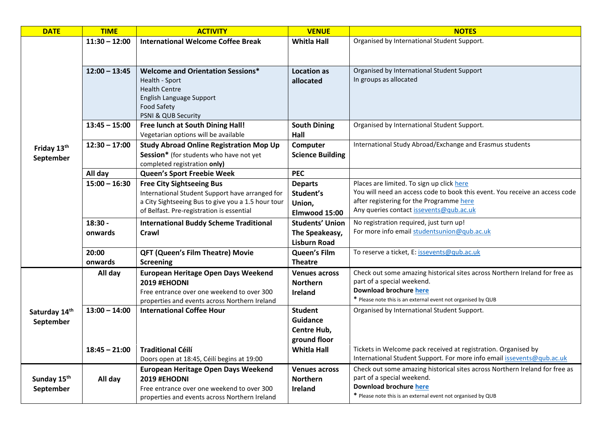| <b>DATE</b>             | <b>TIME</b>     | <b>ACTIVITY</b>                                                                                       | <b>VENUE</b>            | <b>NOTES</b>                                                                                                                             |
|-------------------------|-----------------|-------------------------------------------------------------------------------------------------------|-------------------------|------------------------------------------------------------------------------------------------------------------------------------------|
|                         | $11:30 - 12:00$ | <b>International Welcome Coffee Break</b>                                                             | <b>Whitla Hall</b>      | Organised by International Student Support.                                                                                              |
|                         |                 |                                                                                                       |                         |                                                                                                                                          |
|                         |                 |                                                                                                       |                         |                                                                                                                                          |
|                         | $12:00 - 13:45$ | <b>Welcome and Orientation Sessions*</b>                                                              | <b>Location as</b>      | Organised by International Student Support                                                                                               |
|                         |                 | Health - Sport                                                                                        | allocated               | In groups as allocated                                                                                                                   |
|                         |                 | <b>Health Centre</b><br>English Language Support                                                      |                         |                                                                                                                                          |
|                         |                 | Food Safety                                                                                           |                         |                                                                                                                                          |
|                         |                 | PSNI & QUB Security                                                                                   |                         |                                                                                                                                          |
|                         | $13:45 - 15:00$ | Free lunch at South Dining Hall!                                                                      | <b>South Dining</b>     | Organised by International Student Support.                                                                                              |
|                         |                 | Vegetarian options will be available                                                                  | Hall                    |                                                                                                                                          |
| Friday 13th             | $12:30 - 17:00$ | <b>Study Abroad Online Registration Mop Up</b>                                                        | Computer                | International Study Abroad/Exchange and Erasmus students                                                                                 |
| September               |                 | Session* (for students who have not yet                                                               | <b>Science Building</b> |                                                                                                                                          |
|                         |                 | completed registration only)                                                                          |                         |                                                                                                                                          |
|                         | All day         | Queen's Sport Freebie Week                                                                            | <b>PEC</b>              |                                                                                                                                          |
|                         | $15:00 - 16:30$ | <b>Free City Sightseeing Bus</b>                                                                      | <b>Departs</b>          | Places are limited. To sign up click here<br>You will need an access code to book this event. You receive an access code                 |
|                         |                 | International Student Support have arranged for<br>a City Sightseeing Bus to give you a 1.5 hour tour | Student's               | after registering for the Programme here                                                                                                 |
|                         |                 | of Belfast. Pre-registration is essential                                                             | Union,<br>Elmwood 15:00 | Any queries contact issevents@qub.ac.uk                                                                                                  |
|                         | 18:30 -         | <b>International Buddy Scheme Traditional</b>                                                         | <b>Students' Union</b>  | No registration required, just turn up!                                                                                                  |
|                         | onwards         | Crawl                                                                                                 | The Speakeasy,          | For more info email studentsunion@qub.ac.uk                                                                                              |
|                         |                 |                                                                                                       | <b>Lisburn Road</b>     |                                                                                                                                          |
|                         | 20:00           | <b>QFT (Queen's Film Theatre) Movie</b>                                                               | Queen's Film            | To reserve a ticket, E: issevents@qub.ac.uk                                                                                              |
|                         | onwards         | <b>Screening</b>                                                                                      | <b>Theatre</b>          |                                                                                                                                          |
|                         | All day         | European Heritage Open Days Weekend                                                                   | <b>Venues across</b>    | Check out some amazing historical sites across Northern Ireland for free as                                                              |
|                         |                 | 2019 #EHODNI                                                                                          | <b>Northern</b>         | part of a special weekend.                                                                                                               |
|                         |                 | Free entrance over one weekend to over 300                                                            | <b>Ireland</b>          | Download brochure here                                                                                                                   |
|                         |                 | properties and events across Northern Ireland                                                         |                         | * Please note this is an external event not organised by QUB                                                                             |
| Saturday 14th           | $13:00 - 14:00$ | <b>International Coffee Hour</b>                                                                      | <b>Student</b>          | Organised by International Student Support.                                                                                              |
| September               |                 |                                                                                                       | <b>Guidance</b>         |                                                                                                                                          |
|                         |                 |                                                                                                       | Centre Hub,             |                                                                                                                                          |
|                         |                 |                                                                                                       | ground floor            |                                                                                                                                          |
|                         | $18:45 - 21:00$ | <b>Traditional Céilí</b><br>Doors open at 18:45, Céilí begins at 19:00                                | <b>Whitla Hall</b>      | Tickets in Welcome pack received at registration. Organised by<br>International Student Support. For more info email issevents@qub.ac.uk |
|                         |                 | <b>European Heritage Open Days Weekend</b>                                                            | Venues across           | Check out some amazing historical sites across Northern Ireland for free as                                                              |
| Sunday 15 <sup>th</sup> | All day         | 2019 #EHODNI                                                                                          | <b>Northern</b>         | part of a special weekend.                                                                                                               |
| September               |                 | Free entrance over one weekend to over 300                                                            | Ireland                 | Download brochure here                                                                                                                   |
|                         |                 | properties and events across Northern Ireland                                                         |                         | * Please note this is an external event not organised by QUB                                                                             |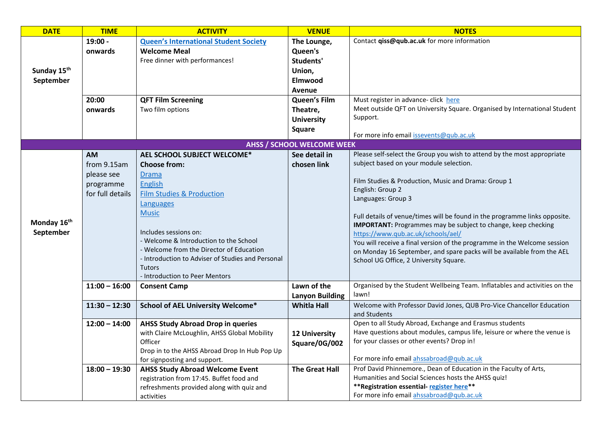| <b>DATE</b>                          | <b>TIME</b>                                                             | <b>ACTIVITY</b>                                                                                                                                                                                                                                                                                                                                                                  | <b>VENUE</b>                                                                                                                                       | <b>NOTES</b>                                                                                                                                                                                                                                                                                                                                                                                                                                                                                                                                                                                                    |
|--------------------------------------|-------------------------------------------------------------------------|----------------------------------------------------------------------------------------------------------------------------------------------------------------------------------------------------------------------------------------------------------------------------------------------------------------------------------------------------------------------------------|----------------------------------------------------------------------------------------------------------------------------------------------------|-----------------------------------------------------------------------------------------------------------------------------------------------------------------------------------------------------------------------------------------------------------------------------------------------------------------------------------------------------------------------------------------------------------------------------------------------------------------------------------------------------------------------------------------------------------------------------------------------------------------|
| Sunday 15 <sup>th</sup><br>September | $19:00 -$<br>onwards<br>20:00<br>onwards                                | <b>Queen's International Student Society</b><br><b>Welcome Meal</b><br>Free dinner with performances!<br><b>QFT Film Screening</b><br>Two film options                                                                                                                                                                                                                           | The Lounge,<br>Queen's<br>Students'<br>Union,<br><b>Elmwood</b><br>Avenue<br><b>Queen's Film</b><br>Theatre,<br><b>University</b><br><b>Square</b> | Contact qiss@qub.ac.uk for more information<br>Must register in advance- click here<br>Meet outside QFT on University Square. Organised by International Student<br>Support.                                                                                                                                                                                                                                                                                                                                                                                                                                    |
|                                      |                                                                         |                                                                                                                                                                                                                                                                                                                                                                                  |                                                                                                                                                    | For more info email issevents@qub.ac.uk                                                                                                                                                                                                                                                                                                                                                                                                                                                                                                                                                                         |
|                                      |                                                                         |                                                                                                                                                                                                                                                                                                                                                                                  | <b>AHSS / SCHOOL WELCOME WEEK</b>                                                                                                                  |                                                                                                                                                                                                                                                                                                                                                                                                                                                                                                                                                                                                                 |
| Monday 16 <sup>th</sup><br>September | <b>AM</b><br>from 9.15am<br>please see<br>programme<br>for full details | AEL SCHOOL SUBJECT WELCOME*<br><b>Choose from:</b><br><b>Drama</b><br><b>English</b><br><b>Film Studies &amp; Production</b><br>Languages<br><b>Music</b><br>Includes sessions on:<br>- Welcome & Introduction to the School<br>- Welcome from the Director of Education<br>- Introduction to Adviser of Studies and Personal<br><b>Tutors</b><br>- Introduction to Peer Mentors | See detail in<br>chosen link                                                                                                                       | Please self-select the Group you wish to attend by the most appropriate<br>subject based on your module selection.<br>Film Studies & Production, Music and Drama: Group 1<br>English: Group 2<br>Languages: Group 3<br>Full details of venue/times will be found in the programme links opposite.<br><b>IMPORTANT:</b> Programmes may be subject to change, keep checking<br>https://www.qub.ac.uk/schools/ael/<br>You will receive a final version of the programme in the Welcome session<br>on Monday 16 September, and spare packs will be available from the AEL<br>School UG Office, 2 University Square. |
|                                      | $11:00 - 16:00$                                                         | <b>Consent Camp</b>                                                                                                                                                                                                                                                                                                                                                              | Lawn of the<br><b>Lanyon Building</b>                                                                                                              | Organised by the Student Wellbeing Team. Inflatables and activities on the<br>lawn!                                                                                                                                                                                                                                                                                                                                                                                                                                                                                                                             |
|                                      | $11:30 - 12:30$                                                         | <b>School of AEL University Welcome*</b>                                                                                                                                                                                                                                                                                                                                         | <b>Whitla Hall</b>                                                                                                                                 | Welcome with Professor David Jones, QUB Pro-Vice Chancellor Education<br>and Students                                                                                                                                                                                                                                                                                                                                                                                                                                                                                                                           |
|                                      | $12:00 - 14:00$                                                         | <b>AHSS Study Abroad Drop in queries</b><br>with Claire McLoughlin, AHSS Global Mobility<br>Officer<br>Drop in to the AHSS Abroad Drop In Hub Pop Up<br>for signposting and support.                                                                                                                                                                                             | <b>12 University</b><br>Square/0G/002                                                                                                              | Open to all Study Abroad, Exchange and Erasmus students<br>Have questions about modules, campus life, leisure or where the venue is<br>for your classes or other events? Drop in!<br>For more info email ahssabroad@qub.ac.uk                                                                                                                                                                                                                                                                                                                                                                                   |
|                                      | $18:00 - 19:30$                                                         | <b>AHSS Study Abroad Welcome Event</b><br>registration from 17:45. Buffet food and<br>refreshments provided along with quiz and<br>activities                                                                                                                                                                                                                                    | <b>The Great Hall</b>                                                                                                                              | Prof David Phinnemore., Dean of Education in the Faculty of Arts,<br>Humanities and Social Sciences hosts the AHSS quiz!<br>** Registration essential-register here**<br>For more info email ahssabroad@qub.ac.uk                                                                                                                                                                                                                                                                                                                                                                                               |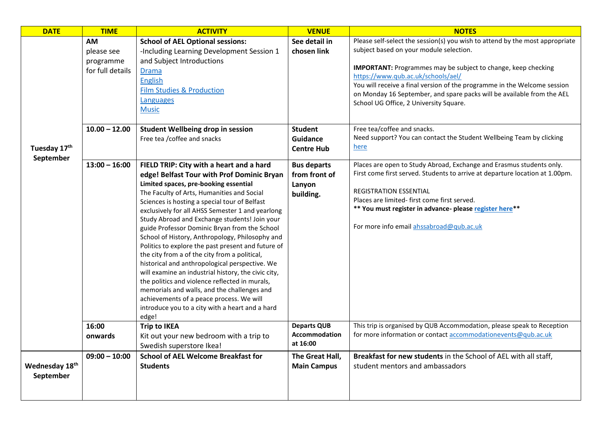| <b>DATE</b>                 | <b>TIME</b>                                       | <b>ACTIVITY</b>                                                                                                                                                                                                                                                                                                                                                                                                                                                                                                                                                                                                                                                                                                                                                                                                                                                  | <b>VENUE</b>                                               | <b>NOTES</b>                                                                                                                                                                                                                                                                                                                                                                                                                          |
|-----------------------------|---------------------------------------------------|------------------------------------------------------------------------------------------------------------------------------------------------------------------------------------------------------------------------------------------------------------------------------------------------------------------------------------------------------------------------------------------------------------------------------------------------------------------------------------------------------------------------------------------------------------------------------------------------------------------------------------------------------------------------------------------------------------------------------------------------------------------------------------------------------------------------------------------------------------------|------------------------------------------------------------|---------------------------------------------------------------------------------------------------------------------------------------------------------------------------------------------------------------------------------------------------------------------------------------------------------------------------------------------------------------------------------------------------------------------------------------|
|                             | АM<br>please see<br>programme<br>for full details | <b>School of AEL Optional sessions:</b><br>-Including Learning Development Session 1<br>and Subject Introductions<br><b>Drama</b><br><b>English</b><br><b>Film Studies &amp; Production</b><br>Languages<br><b>Music</b>                                                                                                                                                                                                                                                                                                                                                                                                                                                                                                                                                                                                                                         | See detail in<br>chosen link                               | Please self-select the session(s) you wish to attend by the most appropriate<br>subject based on your module selection.<br><b>IMPORTANT:</b> Programmes may be subject to change, keep checking<br>https://www.qub.ac.uk/schools/ael/<br>You will receive a final version of the programme in the Welcome session<br>on Monday 16 September, and spare packs will be available from the AEL<br>School UG Office, 2 University Square. |
| Tuesday 17th                | $10.00 - 12.00$                                   | Student Wellbeing drop in session<br>Free tea / coffee and snacks                                                                                                                                                                                                                                                                                                                                                                                                                                                                                                                                                                                                                                                                                                                                                                                                | <b>Student</b><br><b>Guidance</b><br><b>Centre Hub</b>     | Free tea/coffee and snacks.<br>Need support? You can contact the Student Wellbeing Team by clicking<br>here                                                                                                                                                                                                                                                                                                                           |
| September                   | $13:00 - 16:00$                                   | FIELD TRIP: City with a heart and a hard<br>edge! Belfast Tour with Prof Dominic Bryan<br>Limited spaces, pre-booking essential<br>The Faculty of Arts, Humanities and Social<br>Sciences is hosting a special tour of Belfast<br>exclusively for all AHSS Semester 1 and yearlong<br>Study Abroad and Exchange students! Join your<br>guide Professor Dominic Bryan from the School<br>School of History, Anthropology, Philosophy and<br>Politics to explore the past present and future of<br>the city from a of the city from a political,<br>historical and anthropological perspective. We<br>will examine an industrial history, the civic city,<br>the politics and violence reflected in murals,<br>memorials and walls, and the challenges and<br>achievements of a peace process. We will<br>introduce you to a city with a heart and a hard<br>edge! | <b>Bus departs</b><br>from front of<br>Lanyon<br>building. | Places are open to Study Abroad, Exchange and Erasmus students only.<br>First come first served. Students to arrive at departure location at 1.00pm.<br><b>REGISTRATION ESSENTIAL</b><br>Places are limited- first come first served.<br>** You must register in advance- please register here**<br>For more info email ahssabroad@qub.ac.uk                                                                                          |
|                             | 16:00<br>onwards                                  | <b>Trip to IKEA</b><br>Kit out your new bedroom with a trip to<br>Swedish superstore Ikea!                                                                                                                                                                                                                                                                                                                                                                                                                                                                                                                                                                                                                                                                                                                                                                       | <b>Departs QUB</b><br><b>Accommodation</b><br>at 16:00     | This trip is organised by QUB Accommodation, please speak to Reception<br>for more information or contact accommodationevents@qub.ac.uk                                                                                                                                                                                                                                                                                               |
| Wednesday 18th<br>September | $09:00 - 10:00$                                   | <b>School of AEL Welcome Breakfast for</b><br><b>Students</b>                                                                                                                                                                                                                                                                                                                                                                                                                                                                                                                                                                                                                                                                                                                                                                                                    | The Great Hall,<br><b>Main Campus</b>                      | Breakfast for new students in the School of AEL with all staff,<br>student mentors and ambassadors                                                                                                                                                                                                                                                                                                                                    |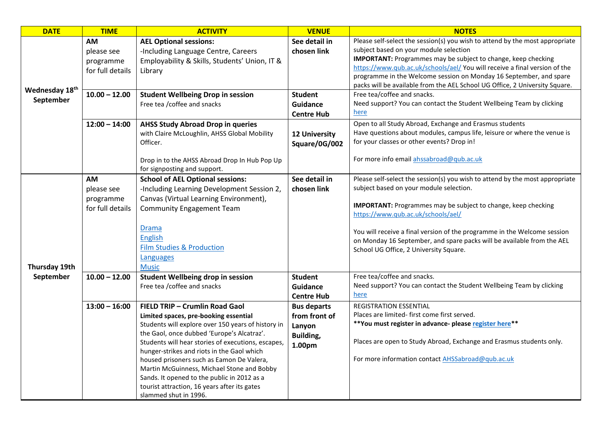| <b>DATE</b>    | <b>TIME</b>      | <b>ACTIVITY</b>                                    | <b>VENUE</b>         | <b>NOTES</b>                                                                                                                                       |
|----------------|------------------|----------------------------------------------------|----------------------|----------------------------------------------------------------------------------------------------------------------------------------------------|
|                | АM               | <b>AEL Optional sessions:</b>                      | See detail in        | Please self-select the session(s) you wish to attend by the most appropriate                                                                       |
|                | please see       | -Including Language Centre, Careers                | chosen link          | subject based on your module selection                                                                                                             |
|                | programme        | Employability & Skills, Students' Union, IT &      |                      | <b>IMPORTANT:</b> Programmes may be subject to change, keep checking                                                                               |
|                | for full details | Library                                            |                      | https://www.qub.ac.uk/schools/ael/ You will receive a final version of the                                                                         |
|                |                  |                                                    |                      | programme in the Welcome session on Monday 16 September, and spare                                                                                 |
| Wednesday 18th |                  |                                                    |                      | packs will be available from the AEL School UG Office, 2 University Square.                                                                        |
| September      | $10.00 - 12.00$  | <b>Student Wellbeing Drop in session</b>           | <b>Student</b>       | Free tea/coffee and snacks.                                                                                                                        |
|                |                  | Free tea / coffee and snacks                       | Guidance             | Need support? You can contact the Student Wellbeing Team by clicking                                                                               |
|                |                  |                                                    | <b>Centre Hub</b>    | here                                                                                                                                               |
|                | $12:00 - 14:00$  | <b>AHSS Study Abroad Drop in queries</b>           |                      | Open to all Study Abroad, Exchange and Erasmus students                                                                                            |
|                |                  | with Claire McLoughlin, AHSS Global Mobility       | <b>12 University</b> | Have questions about modules, campus life, leisure or where the venue is                                                                           |
|                |                  | Officer.                                           | Square/0G/002        | for your classes or other events? Drop in!                                                                                                         |
|                |                  |                                                    |                      |                                                                                                                                                    |
|                |                  | Drop in to the AHSS Abroad Drop In Hub Pop Up      |                      | For more info email ahssabroad@qub.ac.uk                                                                                                           |
|                |                  | for signposting and support.                       |                      |                                                                                                                                                    |
|                | AM               | <b>School of AEL Optional sessions:</b>            | See detail in        | Please self-select the session(s) you wish to attend by the most appropriate                                                                       |
|                | please see       | -Including Learning Development Session 2,         | chosen link          | subject based on your module selection.                                                                                                            |
|                | programme        | Canvas (Virtual Learning Environment),             |                      |                                                                                                                                                    |
|                | for full details | <b>Community Engagement Team</b>                   |                      | <b>IMPORTANT:</b> Programmes may be subject to change, keep checking                                                                               |
|                |                  |                                                    |                      | https://www.qub.ac.uk/schools/ael/                                                                                                                 |
|                |                  | <b>Drama</b>                                       |                      |                                                                                                                                                    |
|                |                  | <b>English</b>                                     |                      | You will receive a final version of the programme in the Welcome session<br>on Monday 16 September, and spare packs will be available from the AEL |
|                |                  | <b>Film Studies &amp; Production</b>               |                      | School UG Office, 2 University Square.                                                                                                             |
|                |                  | Languages                                          |                      |                                                                                                                                                    |
| Thursday 19th  |                  | <b>Music</b>                                       |                      |                                                                                                                                                    |
| September      | $10.00 - 12.00$  | Student Wellbeing drop in session                  | <b>Student</b>       | Free tea/coffee and snacks.                                                                                                                        |
|                |                  | Free tea / coffee and snacks                       | <b>Guidance</b>      | Need support? You can contact the Student Wellbeing Team by clicking                                                                               |
|                |                  |                                                    | <b>Centre Hub</b>    | <u>here</u>                                                                                                                                        |
|                | $13:00 - 16:00$  | FIELD TRIP - Crumlin Road Gaol                     | <b>Bus departs</b>   | REGISTRATION ESSENTIAL                                                                                                                             |
|                |                  | Limited spaces, pre-booking essential              | from front of        | Places are limited- first come first served.                                                                                                       |
|                |                  | Students will explore over 150 years of history in | Lanyon               | **You must register in advance- please register here**                                                                                             |
|                |                  | the Gaol, once dubbed 'Europe's Alcatraz'.         | Building,            |                                                                                                                                                    |
|                |                  | Students will hear stories of executions, escapes, |                      | Places are open to Study Abroad, Exchange and Erasmus students only.                                                                               |
|                |                  | hunger-strikes and riots in the Gaol which         | 1.00pm               |                                                                                                                                                    |
|                |                  | housed prisoners such as Eamon De Valera,          |                      | For more information contact AHSSabroad@qub.ac.uk                                                                                                  |
|                |                  | Martin McGuinness, Michael Stone and Bobby         |                      |                                                                                                                                                    |
|                |                  | Sands. It opened to the public in 2012 as a        |                      |                                                                                                                                                    |
|                |                  | tourist attraction, 16 years after its gates       |                      |                                                                                                                                                    |
|                |                  | slammed shut in 1996.                              |                      |                                                                                                                                                    |